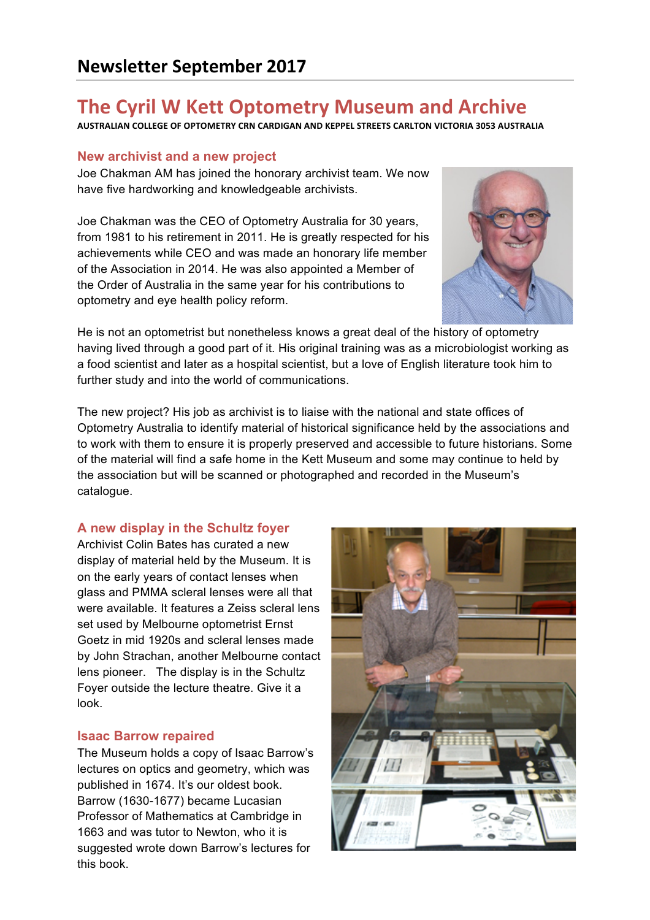# **The Cyril W Kett Optometry Museum and Archive**

**AUSTRALIAN COLLEGE OF OPTOMETRY CRN CARDIGAN AND KEPPEL STREETS CARLTON VICTORIA 3053 AUSTRALIA**

## **New archivist and a new project**

Joe Chakman AM has joined the honorary archivist team. We now have five hardworking and knowledgeable archivists.

Joe Chakman was the CEO of Optometry Australia for 30 years, from 1981 to his retirement in 2011. He is greatly respected for his achievements while CEO and was made an honorary life member of the Association in 2014. He was also appointed a Member of the Order of Australia in the same year for his contributions to optometry and eye health policy reform.



He is not an optometrist but nonetheless knows a great deal of the history of optometry having lived through a good part of it. His original training was as a microbiologist working as a food scientist and later as a hospital scientist, but a love of English literature took him to further study and into the world of communications.

The new project? His job as archivist is to liaise with the national and state offices of Optometry Australia to identify material of historical significance held by the associations and to work with them to ensure it is properly preserved and accessible to future historians. Some of the material will find a safe home in the Kett Museum and some may continue to held by the association but will be scanned or photographed and recorded in the Museum's catalogue.

# **A new display in the Schultz foyer**

Archivist Colin Bates has curated a new display of material held by the Museum. It is on the early years of contact lenses when glass and PMMA scleral lenses were all that were available. It features a Zeiss scleral lens set used by Melbourne optometrist Ernst Goetz in mid 1920s and scleral lenses made by John Strachan, another Melbourne contact lens pioneer. The display is in the Schultz Foyer outside the lecture theatre. Give it a look.

### **Isaac Barrow repaired**

The Museum holds a copy of Isaac Barrow's lectures on optics and geometry, which was published in 1674. It's our oldest book. Barrow (1630-1677) became Lucasian Professor of Mathematics at Cambridge in 1663 and was tutor to Newton, who it is suggested wrote down Barrow's lectures for this book.